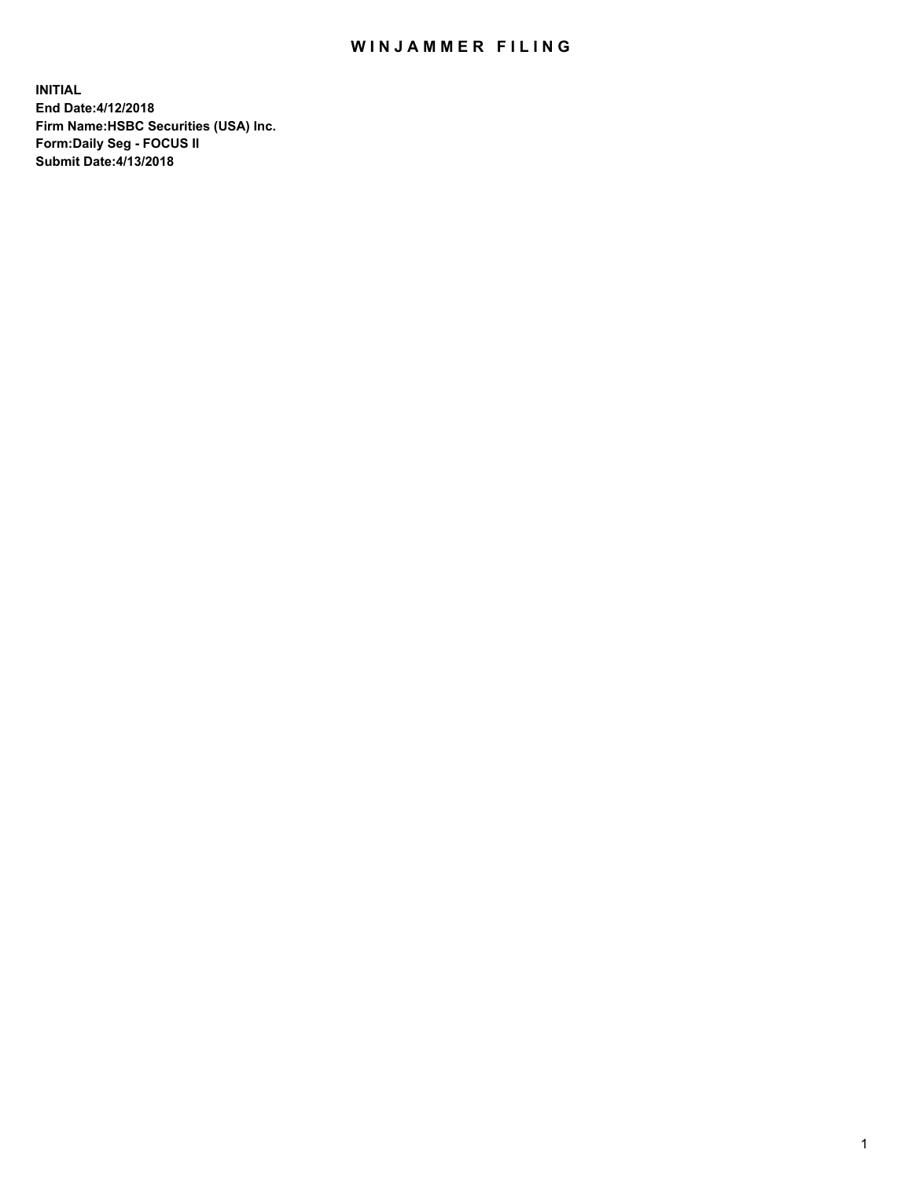## WIN JAMMER FILING

**INITIAL End Date:4/12/2018 Firm Name:HSBC Securities (USA) Inc. Form:Daily Seg - FOCUS II Submit Date:4/13/2018**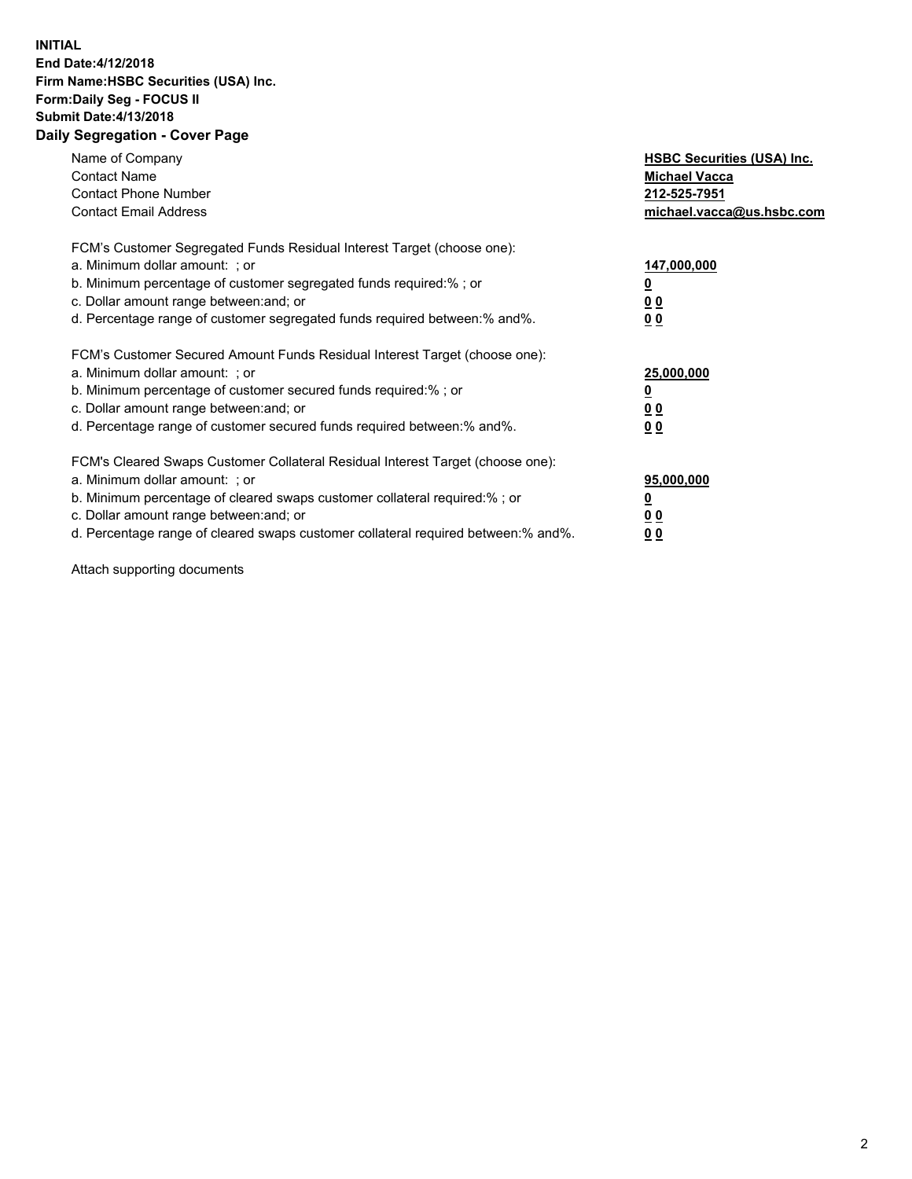## **INITIAL End Date:4/12/2018 Firm Name:HSBC Securities (USA) Inc. Form:Daily Seg - FOCUS II Submit Date:4/13/2018 Daily Segregation - Cover Page**

| Name of Company<br><b>Contact Name</b><br><b>Contact Phone Number</b><br><b>Contact Email Address</b>                                                                                                                                                                                                                         | <b>HSBC Securities (USA) Inc.</b><br><b>Michael Vacca</b><br>212-525-7951<br>michael.vacca@us.hsbc.com |
|-------------------------------------------------------------------------------------------------------------------------------------------------------------------------------------------------------------------------------------------------------------------------------------------------------------------------------|--------------------------------------------------------------------------------------------------------|
| FCM's Customer Segregated Funds Residual Interest Target (choose one):<br>a. Minimum dollar amount: ; or<br>b. Minimum percentage of customer segregated funds required:%; or<br>c. Dollar amount range between: and; or<br>d. Percentage range of customer segregated funds required between: % and %.                       | 147,000,000<br><u>0</u><br><u>00</u><br>00                                                             |
| FCM's Customer Secured Amount Funds Residual Interest Target (choose one):<br>a. Minimum dollar amount: ; or<br>b. Minimum percentage of customer secured funds required:%; or<br>c. Dollar amount range between: and; or<br>d. Percentage range of customer secured funds required between: % and %.                         | 25,000,000<br><u>0</u><br><u>00</u><br>00                                                              |
| FCM's Cleared Swaps Customer Collateral Residual Interest Target (choose one):<br>a. Minimum dollar amount: ; or<br>b. Minimum percentage of cleared swaps customer collateral required:%; or<br>c. Dollar amount range between: and; or<br>d. Percentage range of cleared swaps customer collateral required between:% and%. | 95,000,000<br><u>0</u><br><u>00</u><br><u>00</u>                                                       |

Attach supporting documents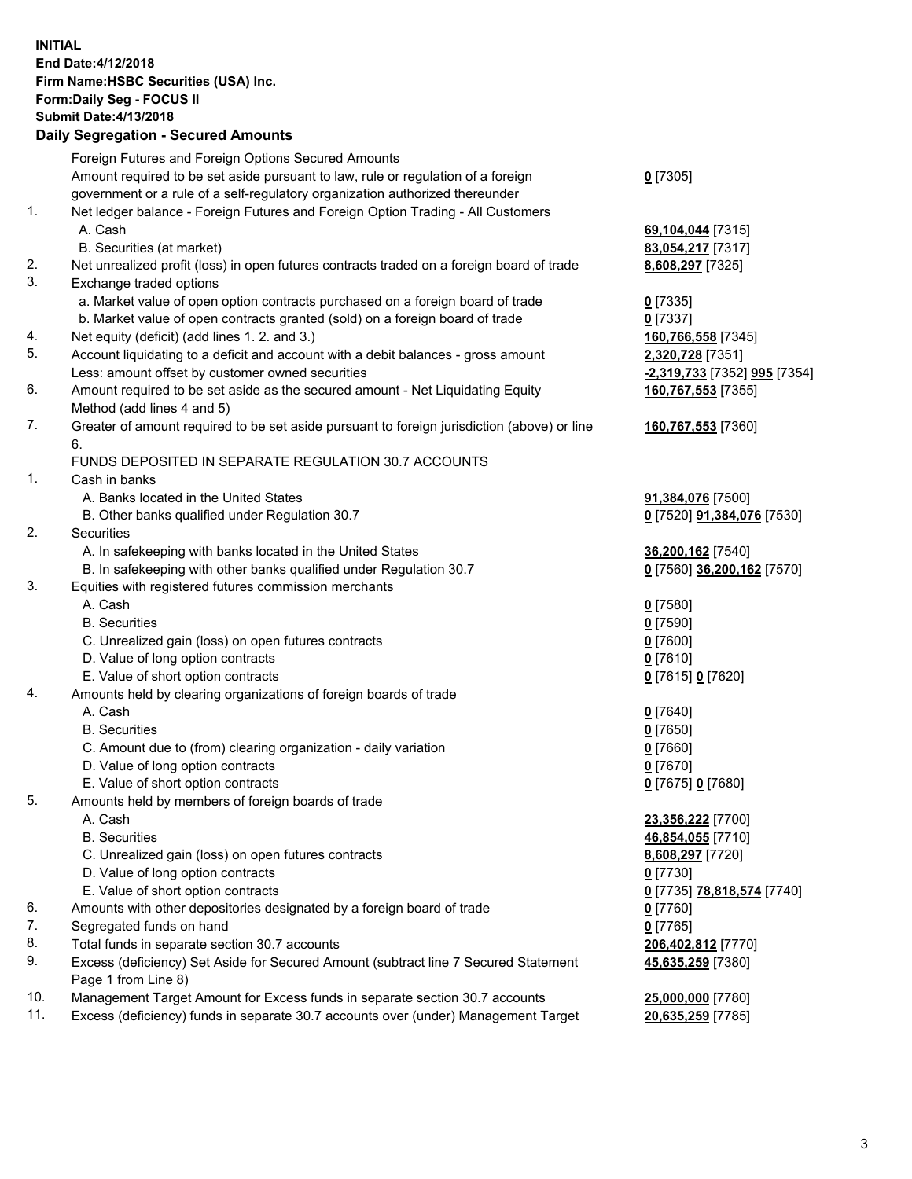**INITIAL End Date:4/12/2018 Firm Name:HSBC Securities (USA) Inc. Form:Daily Seg - FOCUS II Submit Date:4/13/2018 Daily Segregation - Secured Amounts**

|     | Foreign Futures and Foreign Options Secured Amounts                                         |                              |
|-----|---------------------------------------------------------------------------------------------|------------------------------|
|     | Amount required to be set aside pursuant to law, rule or regulation of a foreign            | $0$ [7305]                   |
|     | government or a rule of a self-regulatory organization authorized thereunder                |                              |
| 1.  | Net ledger balance - Foreign Futures and Foreign Option Trading - All Customers             |                              |
|     | A. Cash                                                                                     | 69,104,044 [7315]            |
|     | B. Securities (at market)                                                                   | 83,054,217 [7317]            |
| 2.  | Net unrealized profit (loss) in open futures contracts traded on a foreign board of trade   | 8,608,297 [7325]             |
| 3.  | Exchange traded options                                                                     |                              |
|     | a. Market value of open option contracts purchased on a foreign board of trade              | $0$ [7335]                   |
|     | b. Market value of open contracts granted (sold) on a foreign board of trade                | $0$ [7337]                   |
| 4.  | Net equity (deficit) (add lines 1.2. and 3.)                                                | 160,766,558 [7345]           |
| 5.  | Account liquidating to a deficit and account with a debit balances - gross amount           | 2,320,728 [7351]             |
|     | Less: amount offset by customer owned securities                                            | -2,319,733 [7352] 995 [7354] |
| 6.  | Amount required to be set aside as the secured amount - Net Liquidating Equity              | 160,767,553 [7355]           |
|     | Method (add lines 4 and 5)                                                                  |                              |
| 7.  | Greater of amount required to be set aside pursuant to foreign jurisdiction (above) or line | 160,767,553 [7360]           |
|     | 6.                                                                                          |                              |
|     | FUNDS DEPOSITED IN SEPARATE REGULATION 30.7 ACCOUNTS                                        |                              |
| 1.  | Cash in banks                                                                               |                              |
|     | A. Banks located in the United States                                                       | 91,384,076 [7500]            |
|     | B. Other banks qualified under Regulation 30.7                                              | 0 [7520] 91,384,076 [7530]   |
| 2.  | Securities                                                                                  |                              |
|     | A. In safekeeping with banks located in the United States                                   | 36,200,162 [7540]            |
|     | B. In safekeeping with other banks qualified under Regulation 30.7                          | 0 [7560] 36,200,162 [7570]   |
| 3.  | Equities with registered futures commission merchants                                       |                              |
|     | A. Cash                                                                                     | $0$ [7580]                   |
|     | <b>B.</b> Securities                                                                        | $0$ [7590]                   |
|     | C. Unrealized gain (loss) on open futures contracts                                         | $0$ [7600]                   |
|     | D. Value of long option contracts                                                           | $0$ [7610]                   |
|     | E. Value of short option contracts                                                          | 0 [7615] 0 [7620]            |
| 4.  | Amounts held by clearing organizations of foreign boards of trade                           |                              |
|     | A. Cash                                                                                     | $0$ [7640]                   |
|     | <b>B.</b> Securities                                                                        | $0$ [7650]                   |
|     | C. Amount due to (from) clearing organization - daily variation                             | $0$ [7660]                   |
|     | D. Value of long option contracts                                                           | $0$ [7670]                   |
|     | E. Value of short option contracts                                                          | 0 [7675] 0 [7680]            |
| 5.  | Amounts held by members of foreign boards of trade                                          |                              |
|     | A. Cash                                                                                     | 23,356,222 [7700]            |
|     | <b>B.</b> Securities                                                                        | 46,854,055 [7710]            |
|     | C. Unrealized gain (loss) on open futures contracts                                         | 8,608,297 [7720]             |
|     | D. Value of long option contracts                                                           | $0$ [7730]                   |
|     | E. Value of short option contracts                                                          | 0 [7735] 78,818,574 [7740]   |
| 6.  | Amounts with other depositories designated by a foreign board of trade                      | $0$ [7760]                   |
| 7.  | Segregated funds on hand                                                                    | $0$ [7765]                   |
| 8.  | Total funds in separate section 30.7 accounts                                               | 206,402,812 [7770]           |
| 9.  | Excess (deficiency) Set Aside for Secured Amount (subtract line 7 Secured Statement         | 45,635,259 [7380]            |
|     | Page 1 from Line 8)                                                                         |                              |
| 10. | Management Target Amount for Excess funds in separate section 30.7 accounts                 | 25,000,000 [7780]            |
| 11. | Excess (deficiency) funds in separate 30.7 accounts over (under) Management Target          | 20,635,259 [7785]            |
|     |                                                                                             |                              |
|     |                                                                                             |                              |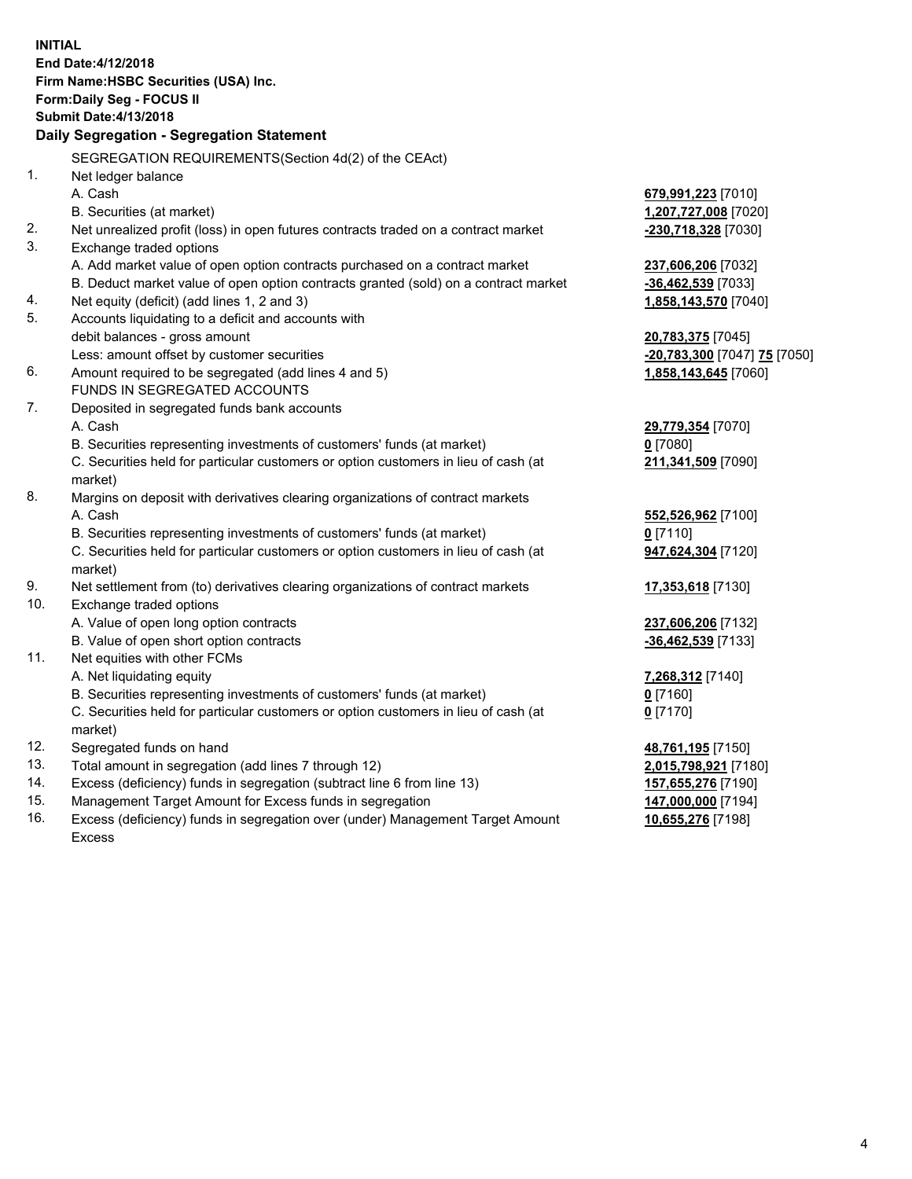**INITIAL End Date:4/12/2018 Firm Name:HSBC Securities (USA) Inc. Form:Daily Seg - FOCUS II Submit Date:4/13/2018 Daily Segregation - Segregation Statement** SEGREGATION REQUIREMENTS(Section 4d(2) of the CEAct) 1. Net ledger balance A. Cash **679,991,223** [7010] B. Securities (at market) **1,207,727,008** [7020] 2. Net unrealized profit (loss) in open futures contracts traded on a contract market **-230,718,328** [7030] 3. Exchange traded options A. Add market value of open option contracts purchased on a contract market **237,606,206** [7032] B. Deduct market value of open option contracts granted (sold) on a contract market **-36,462,539** [7033] 4. Net equity (deficit) (add lines 1, 2 and 3) **1,858,143,570** [7040] 5. Accounts liquidating to a deficit and accounts with debit balances - gross amount **20,783,375** [7045] Less: amount offset by customer securities **-20,783,300** [7047] **75** [7050] 6. Amount required to be segregated (add lines 4 and 5) **1,858,143,645** [7060] FUNDS IN SEGREGATED ACCOUNTS 7. Deposited in segregated funds bank accounts A. Cash **29,779,354** [7070] B. Securities representing investments of customers' funds (at market) **0** [7080] C. Securities held for particular customers or option customers in lieu of cash (at market) **211,341,509** [7090] 8. Margins on deposit with derivatives clearing organizations of contract markets A. Cash **552,526,962** [7100] B. Securities representing investments of customers' funds (at market) **0** [7110] C. Securities held for particular customers or option customers in lieu of cash (at market) **947,624,304** [7120] 9. Net settlement from (to) derivatives clearing organizations of contract markets **17,353,618** [7130] 10. Exchange traded options A. Value of open long option contracts **237,606,206** [7132] B. Value of open short option contracts **-36,462,539** [7133] 11. Net equities with other FCMs A. Net liquidating equity **7,268,312** [7140] B. Securities representing investments of customers' funds (at market) **0** [7160] C. Securities held for particular customers or option customers in lieu of cash (at market) **0** [7170] 12. Segregated funds on hand **48,761,195** [7150] 13. Total amount in segregation (add lines 7 through 12) **2,015,798,921** [7180] 14. Excess (deficiency) funds in segregation (subtract line 6 from line 13) **157,655,276** [7190] 15. Management Target Amount for Excess funds in segregation **147,000,000** [7194]

16. Excess (deficiency) funds in segregation over (under) Management Target Amount Excess

**10,655,276** [7198]